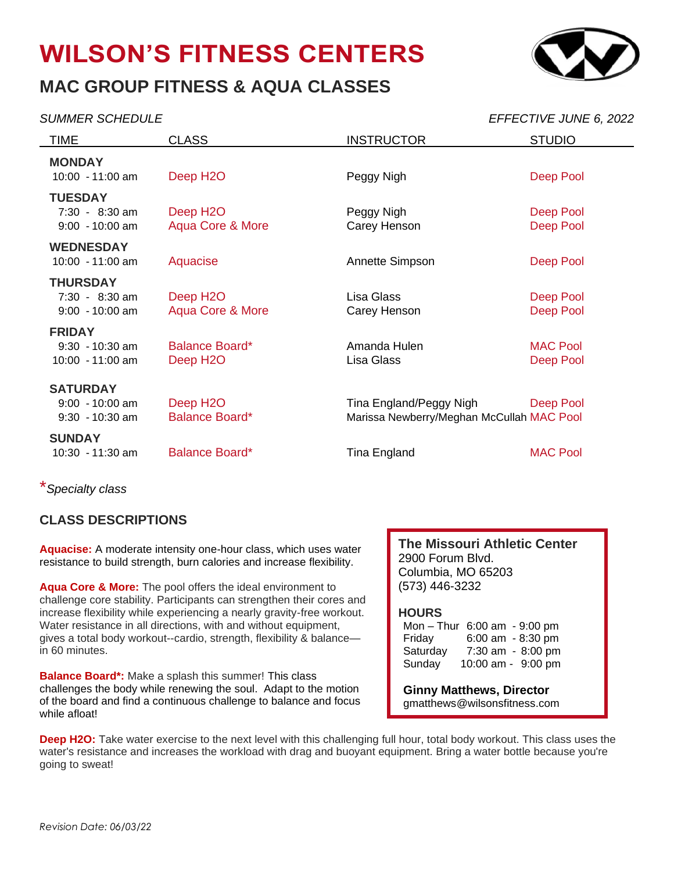# **WILSON'S FITNESS CENTERS**

# **MAC GROUP FITNESS & AQUA CLASSES**

# *SUMMER SCHEDULE EFFECTIVE JUNE 6, 2022*

| <b>TIME</b>                                               | <b>CLASS</b>                                   | <b>INSTRUCTOR</b>                                                    | <b>STUDIO</b>                |
|-----------------------------------------------------------|------------------------------------------------|----------------------------------------------------------------------|------------------------------|
| <b>MONDAY</b><br>10:00 - 11:00 am                         | Deep H <sub>2</sub> O                          | Peggy Nigh                                                           | Deep Pool                    |
| <b>TUESDAY</b><br>7:30 - 8:30 am<br>$9:00 - 10:00$ am     | Deep H <sub>2</sub> O<br>Aqua Core & More      | Peggy Nigh<br>Carey Henson                                           | Deep Pool<br>Deep Pool       |
| <b>WEDNESDAY</b><br>10:00 - 11:00 am                      | Aquacise                                       | Annette Simpson                                                      | Deep Pool                    |
| <b>THURSDAY</b><br>7:30 - 8:30 am<br>$9:00 - 10:00$ am    | Deep H <sub>2</sub> O<br>Aqua Core & More      | Lisa Glass<br>Carey Henson                                           | Deep Pool<br>Deep Pool       |
| <b>FRIDAY</b><br>$9:30 - 10:30$ am<br>10:00 - 11:00 am    | <b>Balance Board*</b><br>Deep H <sub>2</sub> O | Amanda Hulen<br>Lisa Glass                                           | <b>MAC Pool</b><br>Deep Pool |
| <b>SATURDAY</b><br>$9:00 - 10:00$ am<br>$9:30 - 10:30$ am | Deep H <sub>2</sub> O<br><b>Balance Board*</b> | Tina England/Peggy Nigh<br>Marissa Newberry/Meghan McCullah MAC Pool | Deep Pool                    |
| <b>SUNDAY</b><br>10:30 - 11:30 am                         | <b>Balance Board*</b>                          | Tina England                                                         | <b>MAC Pool</b>              |
|                                                           |                                                |                                                                      |                              |

\**Specialty class*

# **CLASS DESCRIPTIONS**

**Aquacise:** A moderate intensity one-hour class, which uses water resistance to build strength, burn calories and increase flexibility.

**Aqua Core & More:** The pool offers the ideal environment to challenge core stability. Participants can strengthen their cores and increase flexibility while experiencing a nearly gravity-free workout. Water resistance in all directions, with and without equipment, gives a total body workout--cardio, strength, flexibility & balance in 60 minutes.

**Balance Board\*:** Make a splash this summer! This class challenges the body while renewing the soul. Adapt to the motion of the board and find a continuous challenge to balance and focus while afloat!

**The Missouri Athletic Center** 2900 Forum Blvd. Columbia, MO 65203 (573) 446-3232

## **HOURS**

Mon – Thur 6:00 am - 9:00 pm Friday 6:00 am - 8:30 pm Saturday 7:30 am - 8:00 pm Sunday 10:00 am - 9:00 pm

**Ginny Matthews, Director** gmatthews@wilsonsfitness.com

**Deep H2O:** Take water exercise to the next level with this challenging full hour, total body workout. This class uses the water's resistance and increases the workload with drag and buoyant equipment. Bring a water bottle because you're going to sweat!